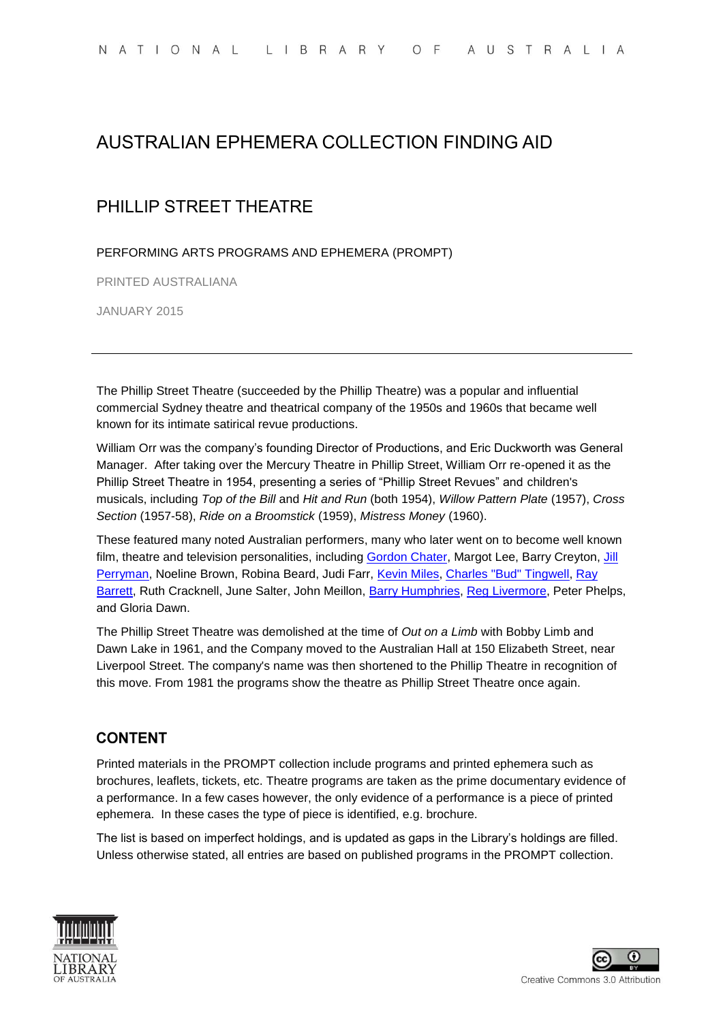# AUSTRALIAN EPHEMERA COLLECTION FINDING AID

# PHILLIP STREET THEATRE

PERFORMING ARTS PROGRAMS AND EPHEMERA (PROMPT)

PRINTED AUSTRALIANA

JANUARY 2015

The Phillip Street Theatre (succeeded by the Phillip Theatre) was a popular and influential commercial Sydney theatre and theatrical company of the 1950s and 1960s that became well known for its intimate satirical revue productions.

William Orr was the company's founding Director of Productions, and Eric Duckworth was General Manager. After taking over the Mercury Theatre in Phillip Street, William Orr re-opened it as the Phillip Street Theatre in 1954, presenting a series of "Phillip Street Revues" and children's musicals, including *Top of the Bill* and *Hit and Run* (both 1954), *Willow Pattern Plate* (1957), *Cross Section* (1957-58), *Ride on a Broomstick* (1959), *Mistress Money* (1960).

These featured many noted Australian performers, many who later went on to become well known film, theatre and television personalities, including [Gordon Chater,](http://nla.gov.au/nla.cat-vn3527107) Margot Lee, Barry Creyton, [Jill](http://nla.gov.au/nla.cat-vn3530323)  [Perryman,](http://nla.gov.au/nla.cat-vn3530323) Noeline Brown, Robina Beard, Judi Farr, [Kevin Miles,](http://nla.gov.au/nla.cat-vn3529655) [Charles "Bud" Tingwell,](http://nla.gov.au/nla.cat-vn3531744) Ray [Barrett,](http://nla.gov.au/nla.cat-vn3526482) Ruth Cracknell, June Salter, John Meillon, [Barry Humphries,](http://nla.gov.au/nla.cat-vn1119882) [Reg Livermore,](http://nla.gov.au/nla.cat-vn3529274) Peter Phelps, and Gloria Dawn.

The Phillip Street Theatre was demolished at the time of *Out on a Limb* with Bobby Limb and Dawn Lake in 1961, and the Company moved to the Australian Hall at 150 Elizabeth Street, near Liverpool Street. The company's name was then shortened to the Phillip Theatre in recognition of this move. From 1981 the programs show the theatre as Phillip Street Theatre once again.

### **CONTENT**

Printed materials in the PROMPT collection include programs and printed ephemera such as brochures, leaflets, tickets, etc. Theatre programs are taken as the prime documentary evidence of a performance. In a few cases however, the only evidence of a performance is a piece of printed ephemera. In these cases the type of piece is identified, e.g. brochure.

The list is based on imperfect holdings, and is updated as gaps in the Library's holdings are filled. Unless otherwise stated, all entries are based on published programs in the PROMPT collection.



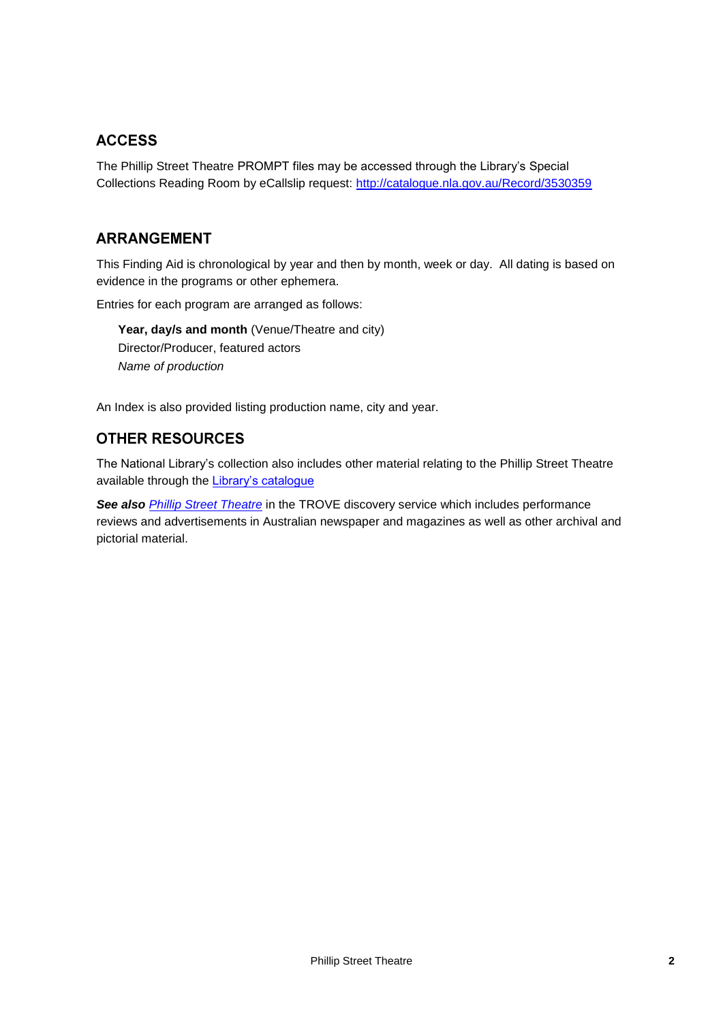### **ACCESS**

The Phillip Street Theatre PROMPT files may be accessed through the Library's Special Collections Reading Room by eCallslip request:<http://catalogue.nla.gov.au/Record/3530359>

#### **ARRANGEMENT**

This Finding Aid is chronological by year and then by month, week or day. All dating is based on evidence in the programs or other ephemera.

Entries for each program are arranged as follows:

**Year, day/s and month** (Venue/Theatre and city) Director/Producer, featured actors *Name of production*

An Index is also provided listing production name, city and year.

### **OTHER RESOURCES**

The National Library's collection also includes other material relating to the Phillip Street Theatre available through the [Library's catalogue](http://catalogue.nla.gov.au/Search/Home?lookfor=phillip+street+theatre&type=all&limit%5B%5D=&submit=Find)

*See also [Phillip Street Theatre](http://trove.nla.gov.au/newspaper/result?q=&exactPhrase=phillip+street+theatre&anyWords=¬Words=&l-textSearchScope=*ignore*%7C*ignore*&fromdd=&frommm=&fromyyyy=&todd=&tomm=&toyyyy=&l-word=*ignore*%7C*ignore*&sortby=)* in the TROVE discovery service which includes performance reviews and advertisements in Australian newspaper and magazines as well as other archival and pictorial material.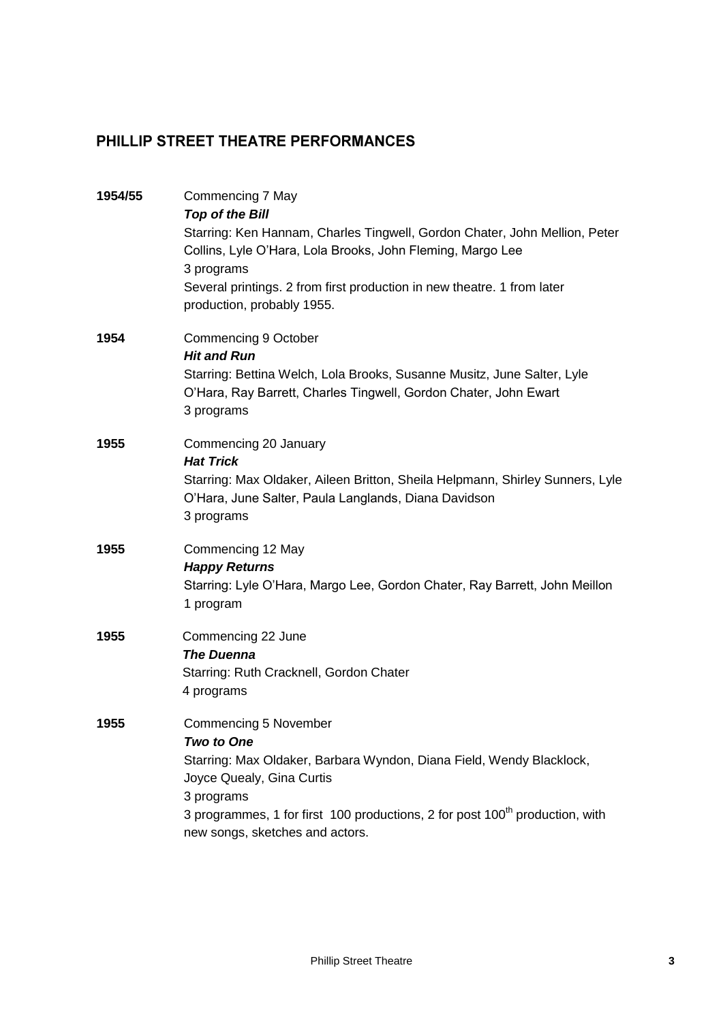# PHILLIP STREET THEATRE PERFORMANCES

| 1954/55 | Commencing 7 May<br><b>Top of the Bill</b><br>Starring: Ken Hannam, Charles Tingwell, Gordon Chater, John Mellion, Peter<br>Collins, Lyle O'Hara, Lola Brooks, John Fleming, Margo Lee<br>3 programs<br>Several printings. 2 from first production in new theatre. 1 from later<br>production, probably 1955. |
|---------|---------------------------------------------------------------------------------------------------------------------------------------------------------------------------------------------------------------------------------------------------------------------------------------------------------------|
| 1954    | Commencing 9 October<br><b>Hit and Run</b><br>Starring: Bettina Welch, Lola Brooks, Susanne Musitz, June Salter, Lyle<br>O'Hara, Ray Barrett, Charles Tingwell, Gordon Chater, John Ewart<br>3 programs                                                                                                       |
| 1955    | Commencing 20 January<br><b>Hat Trick</b><br>Starring: Max Oldaker, Aileen Britton, Sheila Helpmann, Shirley Sunners, Lyle<br>O'Hara, June Salter, Paula Langlands, Diana Davidson<br>3 programs                                                                                                              |
| 1955    | Commencing 12 May<br><b>Happy Returns</b><br>Starring: Lyle O'Hara, Margo Lee, Gordon Chater, Ray Barrett, John Meillon<br>1 program                                                                                                                                                                          |
| 1955    | Commencing 22 June<br><b>The Duenna</b><br>Starring: Ruth Cracknell, Gordon Chater<br>4 programs                                                                                                                                                                                                              |
| 1955    | Commencing 5 November<br>Two to One<br>Starring: Max Oldaker, Barbara Wyndon, Diana Field, Wendy Blacklock,<br>Joyce Quealy, Gina Curtis<br>3 programs<br>3 programmes, 1 for first 100 productions, 2 for post 100 <sup>th</sup> production, with<br>new songs, sketches and actors.                         |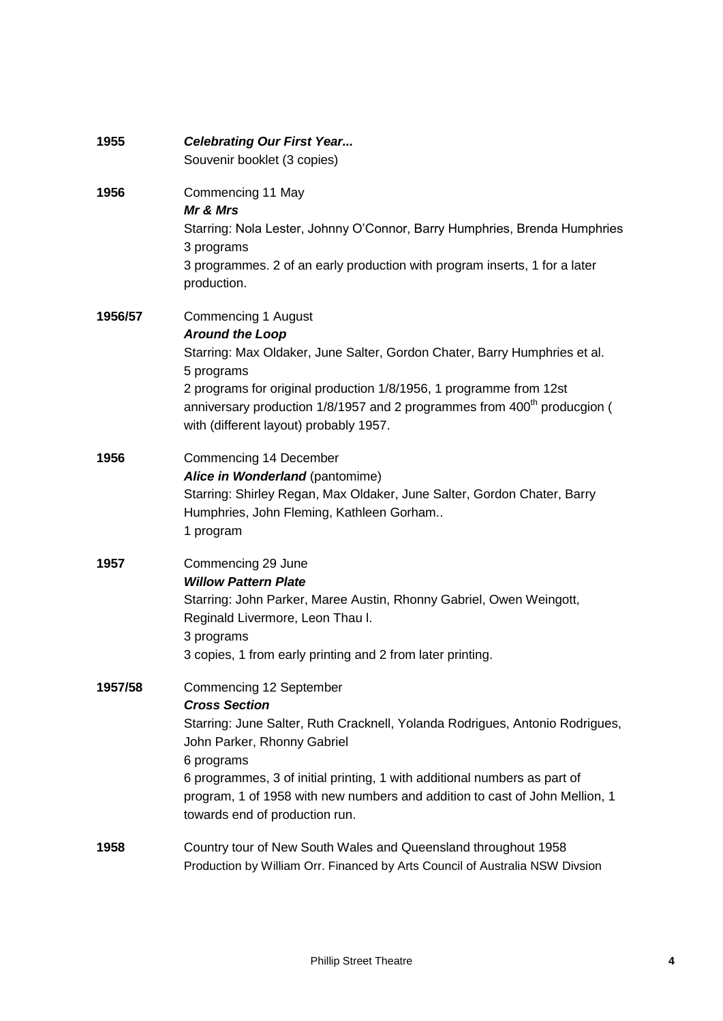| 1955    | <b>Celebrating Our First Year</b><br>Souvenir booklet (3 copies)                                                                                                                                                                                                                                                                                                           |
|---------|----------------------------------------------------------------------------------------------------------------------------------------------------------------------------------------------------------------------------------------------------------------------------------------------------------------------------------------------------------------------------|
| 1956    | Commencing 11 May<br>Mr & Mrs<br>Starring: Nola Lester, Johnny O'Connor, Barry Humphries, Brenda Humphries<br>3 programs<br>3 programmes. 2 of an early production with program inserts, 1 for a later<br>production.                                                                                                                                                      |
| 1956/57 | <b>Commencing 1 August</b><br><b>Around the Loop</b><br>Starring: Max Oldaker, June Salter, Gordon Chater, Barry Humphries et al.<br>5 programs<br>2 programs for original production 1/8/1956, 1 programme from 12st<br>anniversary production 1/8/1957 and 2 programmes from 400 <sup>th</sup> producgion (<br>with (different layout) probably 1957.                    |
| 1956    | Commencing 14 December<br>Alice in Wonderland (pantomime)<br>Starring: Shirley Regan, Max Oldaker, June Salter, Gordon Chater, Barry<br>Humphries, John Fleming, Kathleen Gorham<br>1 program                                                                                                                                                                              |
| 1957    | Commencing 29 June<br><b>Willow Pattern Plate</b><br>Starring: John Parker, Maree Austin, Rhonny Gabriel, Owen Weingott,<br>Reginald Livermore, Leon Thau I.<br>3 programs<br>3 copies, 1 from early printing and 2 from later printing.                                                                                                                                   |
| 1957/58 | Commencing 12 September<br><b>Cross Section</b><br>Starring: June Salter, Ruth Cracknell, Yolanda Rodrigues, Antonio Rodrigues,<br>John Parker, Rhonny Gabriel<br>6 programs<br>6 programmes, 3 of initial printing, 1 with additional numbers as part of<br>program, 1 of 1958 with new numbers and addition to cast of John Mellion, 1<br>towards end of production run. |
| 1958    | Country tour of New South Wales and Queensland throughout 1958<br>Production by William Orr. Financed by Arts Council of Australia NSW Divsion                                                                                                                                                                                                                             |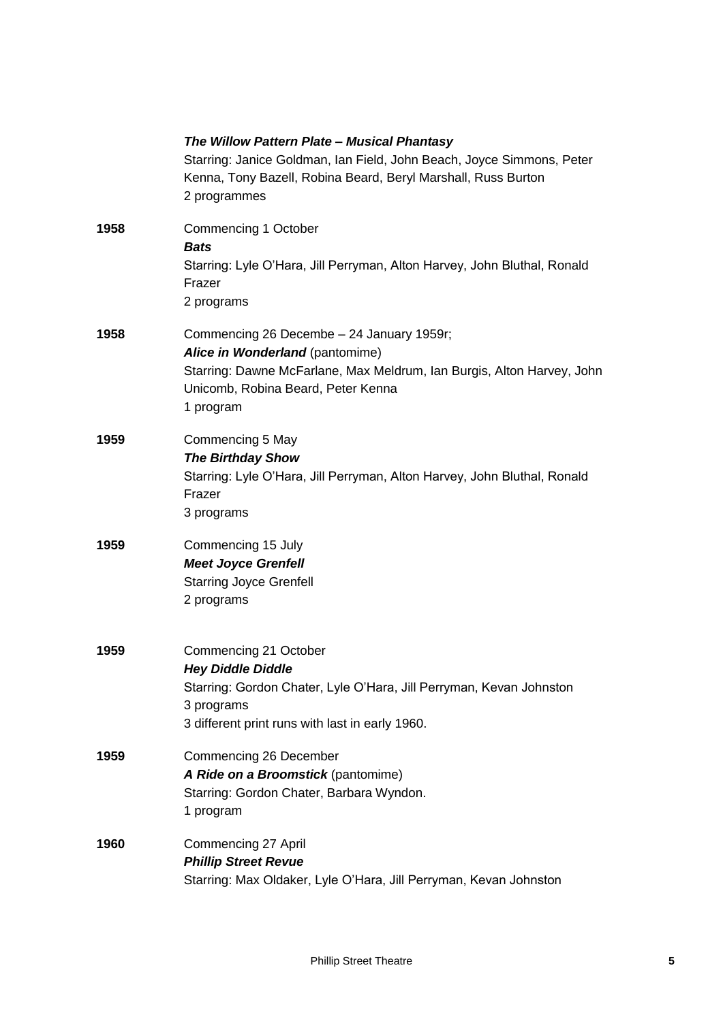|      | The Willow Pattern Plate - Musical Phantasy<br>Starring: Janice Goldman, Ian Field, John Beach, Joyce Simmons, Peter<br>Kenna, Tony Bazell, Robina Beard, Beryl Marshall, Russ Burton<br>2 programmes     |
|------|-----------------------------------------------------------------------------------------------------------------------------------------------------------------------------------------------------------|
| 1958 | Commencing 1 October<br><b>Bats</b><br>Starring: Lyle O'Hara, Jill Perryman, Alton Harvey, John Bluthal, Ronald<br>Frazer<br>2 programs                                                                   |
| 1958 | Commencing 26 Decembe - 24 January 1959r;<br>Alice in Wonderland (pantomime)<br>Starring: Dawne McFarlane, Max Meldrum, Ian Burgis, Alton Harvey, John<br>Unicomb, Robina Beard, Peter Kenna<br>1 program |
| 1959 | Commencing 5 May<br><b>The Birthday Show</b><br>Starring: Lyle O'Hara, Jill Perryman, Alton Harvey, John Bluthal, Ronald<br>Frazer<br>3 programs                                                          |
| 1959 | Commencing 15 July<br><b>Meet Joyce Grenfell</b><br><b>Starring Joyce Grenfell</b><br>2 programs                                                                                                          |
| 1959 | Commencing 21 October<br><b>Hey Diddle Diddle</b><br>Starring: Gordon Chater, Lyle O'Hara, Jill Perryman, Kevan Johnston<br>3 programs<br>3 different print runs with last in early 1960.                 |
| 1959 | Commencing 26 December<br>A Ride on a Broomstick (pantomime)<br>Starring: Gordon Chater, Barbara Wyndon.<br>1 program                                                                                     |
| 1960 | Commencing 27 April<br><b>Phillip Street Revue</b><br>Starring: Max Oldaker, Lyle O'Hara, Jill Perryman, Kevan Johnston                                                                                   |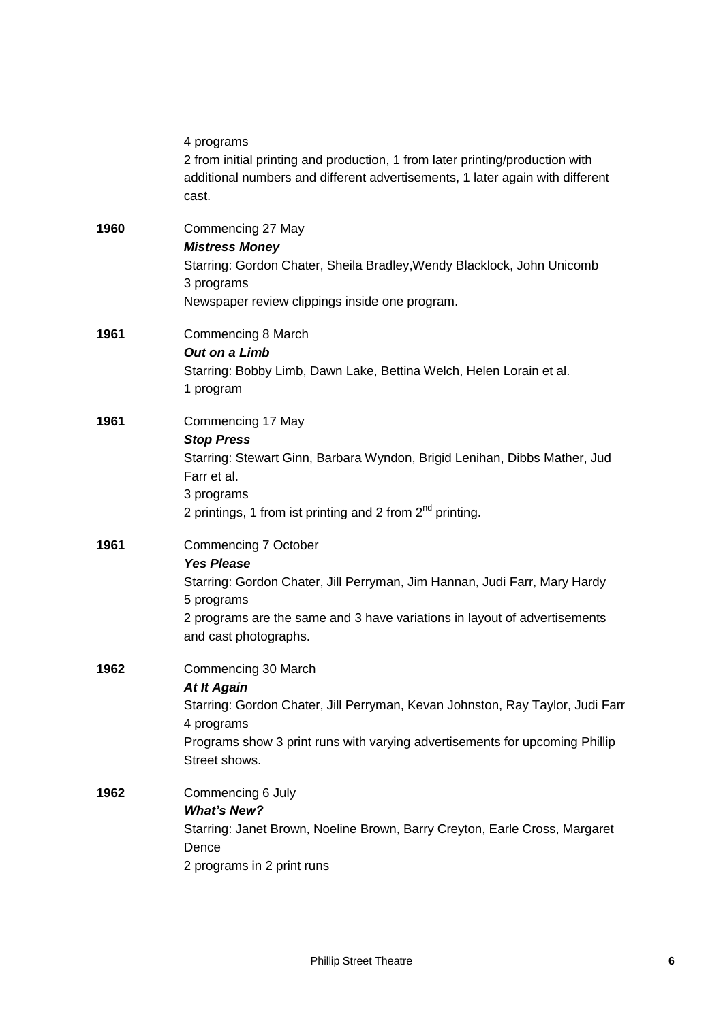|      | 4 programs<br>2 from initial printing and production, 1 from later printing/production with<br>additional numbers and different advertisements, 1 later again with different<br>cast.                                                      |
|------|--------------------------------------------------------------------------------------------------------------------------------------------------------------------------------------------------------------------------------------------|
| 1960 | Commencing 27 May<br><b>Mistress Money</b><br>Starring: Gordon Chater, Sheila Bradley, Wendy Blacklock, John Unicomb<br>3 programs<br>Newspaper review clippings inside one program.                                                       |
| 1961 | Commencing 8 March<br>Out on a Limb<br>Starring: Bobby Limb, Dawn Lake, Bettina Welch, Helen Lorain et al.<br>1 program                                                                                                                    |
| 1961 | Commencing 17 May<br><b>Stop Press</b><br>Starring: Stewart Ginn, Barbara Wyndon, Brigid Lenihan, Dibbs Mather, Jud<br>Farr et al.<br>3 programs<br>2 printings, 1 from ist printing and 2 from $2^{nd}$ printing.                         |
| 1961 | Commencing 7 October<br><b>Yes Please</b><br>Starring: Gordon Chater, Jill Perryman, Jim Hannan, Judi Farr, Mary Hardy<br>5 programs<br>2 programs are the same and 3 have variations in layout of advertisements<br>and cast photographs. |
| 1962 | Commencing 30 March<br><b>At It Again</b><br>Starring: Gordon Chater, Jill Perryman, Kevan Johnston, Ray Taylor, Judi Farr<br>4 programs<br>Programs show 3 print runs with varying advertisements for upcoming Phillip<br>Street shows.   |
| 1962 | Commencing 6 July<br><b>What's New?</b><br>Starring: Janet Brown, Noeline Brown, Barry Creyton, Earle Cross, Margaret<br>Dence<br>2 programs in 2 print runs                                                                               |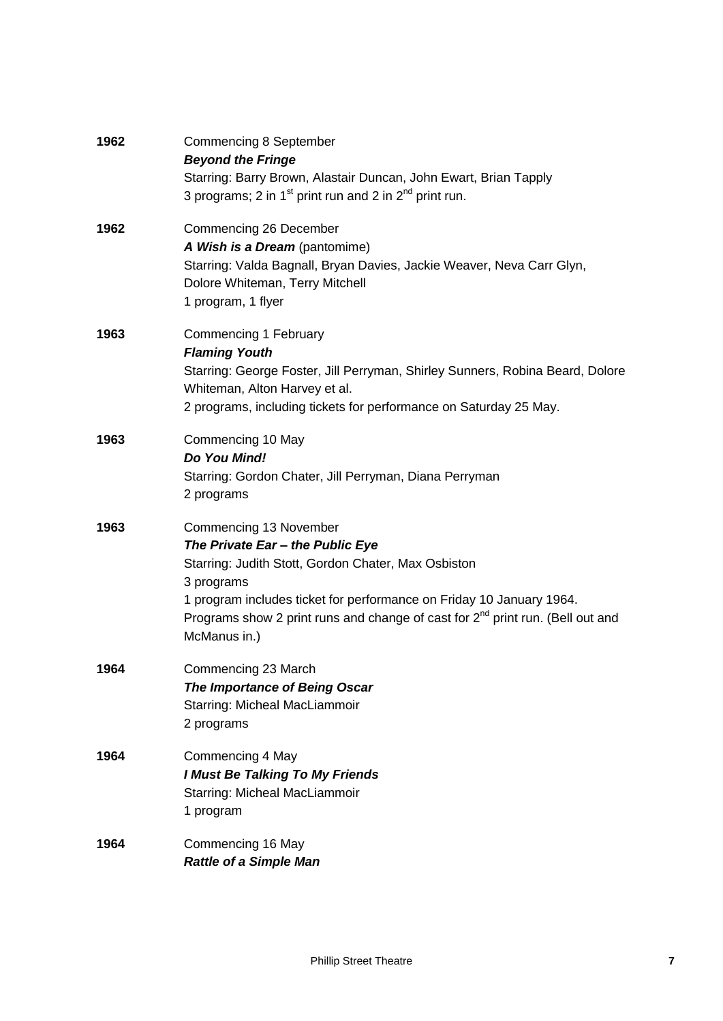| 1962 | Commencing 8 September<br><b>Beyond the Fringe</b><br>Starring: Barry Brown, Alastair Duncan, John Ewart, Brian Tapply<br>3 programs; 2 in 1 <sup>st</sup> print run and 2 in $2nd$ print run.                                                                                                                 |
|------|----------------------------------------------------------------------------------------------------------------------------------------------------------------------------------------------------------------------------------------------------------------------------------------------------------------|
| 1962 | Commencing 26 December<br>A Wish is a Dream (pantomime)<br>Starring: Valda Bagnall, Bryan Davies, Jackie Weaver, Neva Carr Glyn,<br>Dolore Whiteman, Terry Mitchell<br>1 program, 1 flyer                                                                                                                      |
| 1963 | Commencing 1 February<br><b>Flaming Youth</b><br>Starring: George Foster, Jill Perryman, Shirley Sunners, Robina Beard, Dolore<br>Whiteman, Alton Harvey et al.<br>2 programs, including tickets for performance on Saturday 25 May.                                                                           |
| 1963 | Commencing 10 May<br>Do You Mind!<br>Starring: Gordon Chater, Jill Perryman, Diana Perryman<br>2 programs                                                                                                                                                                                                      |
| 1963 | Commencing 13 November<br>The Private Ear - the Public Eye<br>Starring: Judith Stott, Gordon Chater, Max Osbiston<br>3 programs<br>1 program includes ticket for performance on Friday 10 January 1964.<br>Programs show 2 print runs and change of cast for $2^{nd}$ print run. (Bell out and<br>McManus in.) |
| 1964 | Commencing 23 March<br>The Importance of Being Oscar<br>Starring: Micheal MacLiammoir<br>2 programs                                                                                                                                                                                                            |
| 1964 | Commencing 4 May<br><b>I Must Be Talking To My Friends</b><br>Starring: Micheal MacLiammoir<br>1 program                                                                                                                                                                                                       |
| 1964 | Commencing 16 May<br><b>Rattle of a Simple Man</b>                                                                                                                                                                                                                                                             |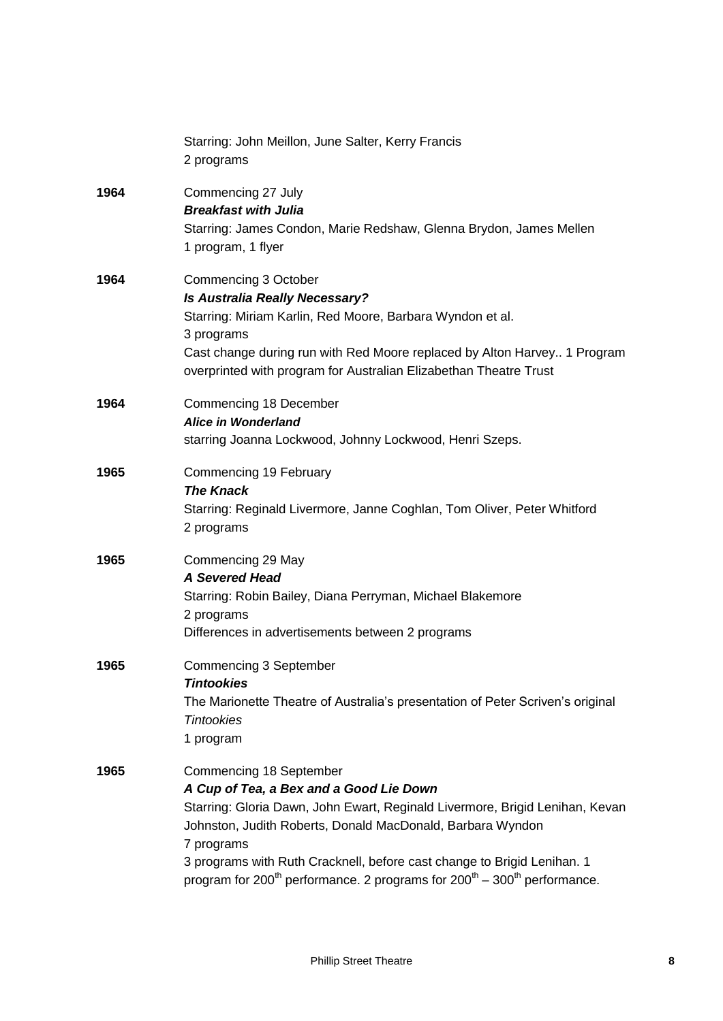|      | Starring: John Meillon, June Salter, Kerry Francis<br>2 programs                                                                                                                                                                                                                                                                                                                                                   |
|------|--------------------------------------------------------------------------------------------------------------------------------------------------------------------------------------------------------------------------------------------------------------------------------------------------------------------------------------------------------------------------------------------------------------------|
| 1964 | Commencing 27 July<br><b>Breakfast with Julia</b><br>Starring: James Condon, Marie Redshaw, Glenna Brydon, James Mellen<br>1 program, 1 flyer                                                                                                                                                                                                                                                                      |
| 1964 | Commencing 3 October<br><b>Is Australia Really Necessary?</b><br>Starring: Miriam Karlin, Red Moore, Barbara Wyndon et al.<br>3 programs<br>Cast change during run with Red Moore replaced by Alton Harvey 1 Program<br>overprinted with program for Australian Elizabethan Theatre Trust                                                                                                                          |
| 1964 | Commencing 18 December<br><b>Alice in Wonderland</b><br>starring Joanna Lockwood, Johnny Lockwood, Henri Szeps.                                                                                                                                                                                                                                                                                                    |
| 1965 | Commencing 19 February<br><b>The Knack</b><br>Starring: Reginald Livermore, Janne Coghlan, Tom Oliver, Peter Whitford<br>2 programs                                                                                                                                                                                                                                                                                |
| 1965 | Commencing 29 May<br><b>A Severed Head</b><br>Starring: Robin Bailey, Diana Perryman, Michael Blakemore<br>2 programs<br>Differences in advertisements between 2 programs                                                                                                                                                                                                                                          |
| 1965 | Commencing 3 September<br>Tintookies<br>The Marionette Theatre of Australia's presentation of Peter Scriven's original<br><b>Tintookies</b><br>1 program                                                                                                                                                                                                                                                           |
| 1965 | Commencing 18 September<br>A Cup of Tea, a Bex and a Good Lie Down<br>Starring: Gloria Dawn, John Ewart, Reginald Livermore, Brigid Lenihan, Kevan<br>Johnston, Judith Roberts, Donald MacDonald, Barbara Wyndon<br>7 programs<br>3 programs with Ruth Cracknell, before cast change to Brigid Lenihan. 1<br>program for 200 <sup>th</sup> performance. 2 programs for $200^{th}$ – 300 <sup>th</sup> performance. |
|      |                                                                                                                                                                                                                                                                                                                                                                                                                    |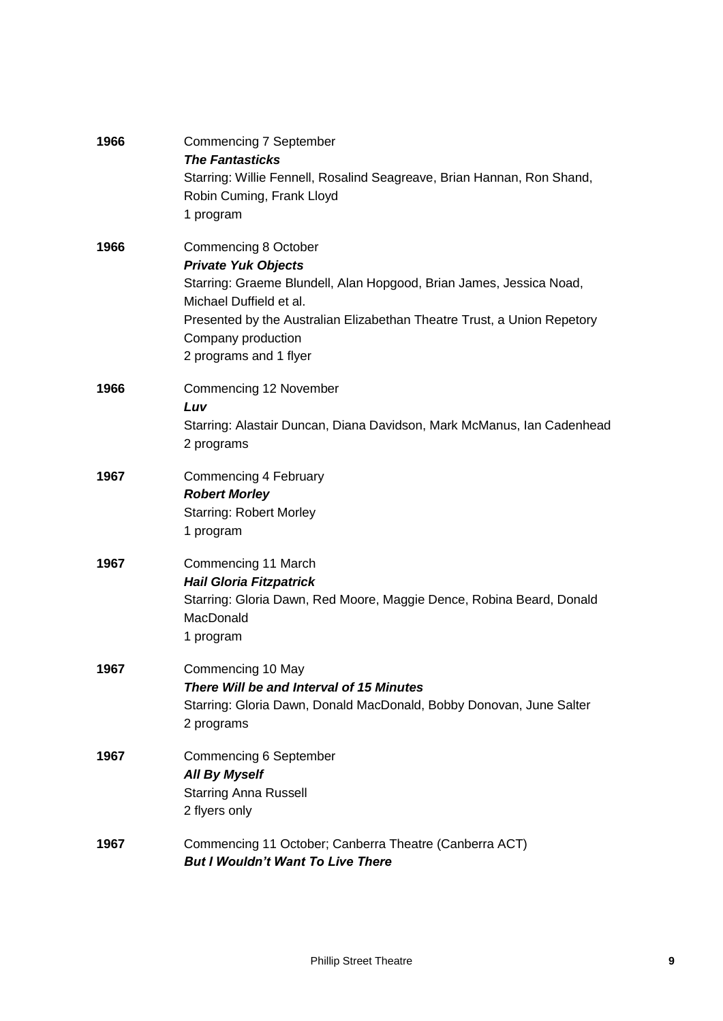| 1966 | <b>Commencing 7 September</b><br><b>The Fantasticks</b><br>Starring: Willie Fennell, Rosalind Seagreave, Brian Hannan, Ron Shand,<br>Robin Cuming, Frank Lloyd<br>1 program                                                                                                            |
|------|----------------------------------------------------------------------------------------------------------------------------------------------------------------------------------------------------------------------------------------------------------------------------------------|
| 1966 | <b>Commencing 8 October</b><br><b>Private Yuk Objects</b><br>Starring: Graeme Blundell, Alan Hopgood, Brian James, Jessica Noad,<br>Michael Duffield et al.<br>Presented by the Australian Elizabethan Theatre Trust, a Union Repetory<br>Company production<br>2 programs and 1 flyer |
| 1966 | Commencing 12 November<br>Luv<br>Starring: Alastair Duncan, Diana Davidson, Mark McManus, Ian Cadenhead<br>2 programs                                                                                                                                                                  |
| 1967 | Commencing 4 February<br><b>Robert Morley</b><br><b>Starring: Robert Morley</b><br>1 program                                                                                                                                                                                           |
| 1967 | Commencing 11 March<br><b>Hail Gloria Fitzpatrick</b><br>Starring: Gloria Dawn, Red Moore, Maggie Dence, Robina Beard, Donald<br>MacDonald<br>1 program                                                                                                                                |
| 1967 | Commencing 10 May<br>There Will be and Interval of 15 Minutes<br>Starring: Gloria Dawn, Donald MacDonald, Bobby Donovan, June Salter<br>2 programs                                                                                                                                     |
| 1967 | <b>Commencing 6 September</b><br><b>All By Myself</b><br><b>Starring Anna Russell</b><br>2 flyers only                                                                                                                                                                                 |
| 1967 | Commencing 11 October; Canberra Theatre (Canberra ACT)<br><b>But I Wouldn't Want To Live There</b>                                                                                                                                                                                     |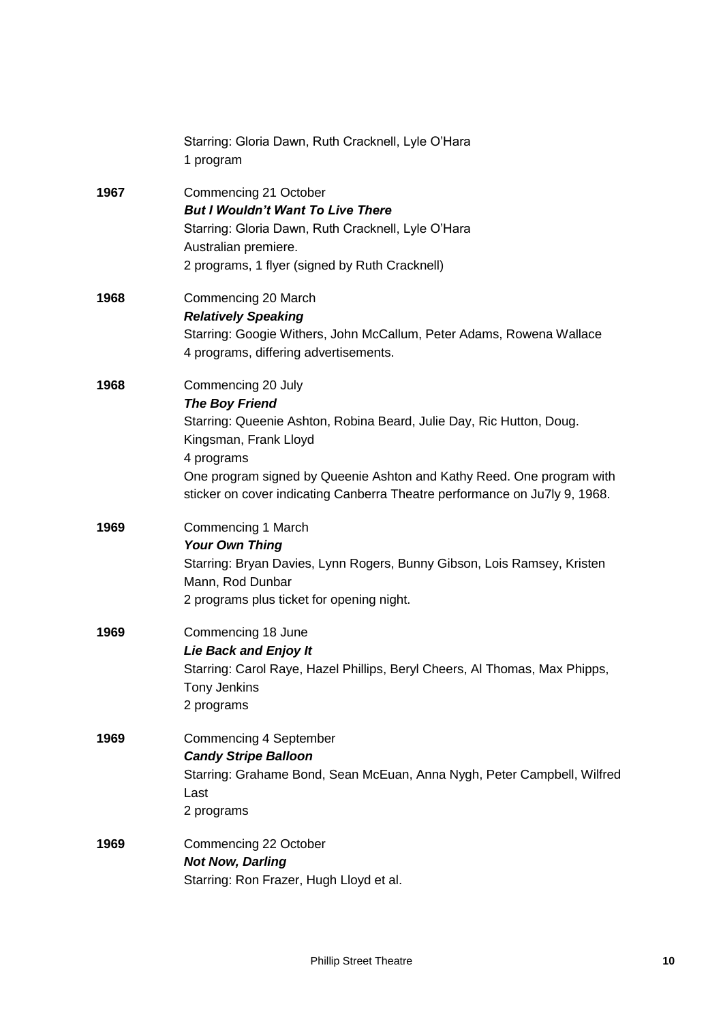|      | Starring: Gloria Dawn, Ruth Cracknell, Lyle O'Hara<br>1 program                                                                                                                                                                                                                                                   |
|------|-------------------------------------------------------------------------------------------------------------------------------------------------------------------------------------------------------------------------------------------------------------------------------------------------------------------|
| 1967 | Commencing 21 October<br><b>But I Wouldn't Want To Live There</b><br>Starring: Gloria Dawn, Ruth Cracknell, Lyle O'Hara<br>Australian premiere.<br>2 programs, 1 flyer (signed by Ruth Cracknell)                                                                                                                 |
| 1968 | Commencing 20 March<br><b>Relatively Speaking</b><br>Starring: Googie Withers, John McCallum, Peter Adams, Rowena Wallace<br>4 programs, differing advertisements.                                                                                                                                                |
| 1968 | Commencing 20 July<br><b>The Boy Friend</b><br>Starring: Queenie Ashton, Robina Beard, Julie Day, Ric Hutton, Doug.<br>Kingsman, Frank Lloyd<br>4 programs<br>One program signed by Queenie Ashton and Kathy Reed. One program with<br>sticker on cover indicating Canberra Theatre performance on Ju7ly 9, 1968. |
| 1969 | Commencing 1 March<br><b>Your Own Thing</b><br>Starring: Bryan Davies, Lynn Rogers, Bunny Gibson, Lois Ramsey, Kristen<br>Mann, Rod Dunbar<br>2 programs plus ticket for opening night.                                                                                                                           |
| 1969 | Commencing 18 June<br><b>Lie Back and Enjoy It</b><br>Starring: Carol Raye, Hazel Phillips, Beryl Cheers, Al Thomas, Max Phipps,<br><b>Tony Jenkins</b><br>2 programs                                                                                                                                             |
| 1969 | Commencing 4 September<br><b>Candy Stripe Balloon</b><br>Starring: Grahame Bond, Sean McEuan, Anna Nygh, Peter Campbell, Wilfred<br>Last<br>2 programs                                                                                                                                                            |
| 1969 | Commencing 22 October<br><b>Not Now, Darling</b><br>Starring: Ron Frazer, Hugh Lloyd et al.                                                                                                                                                                                                                       |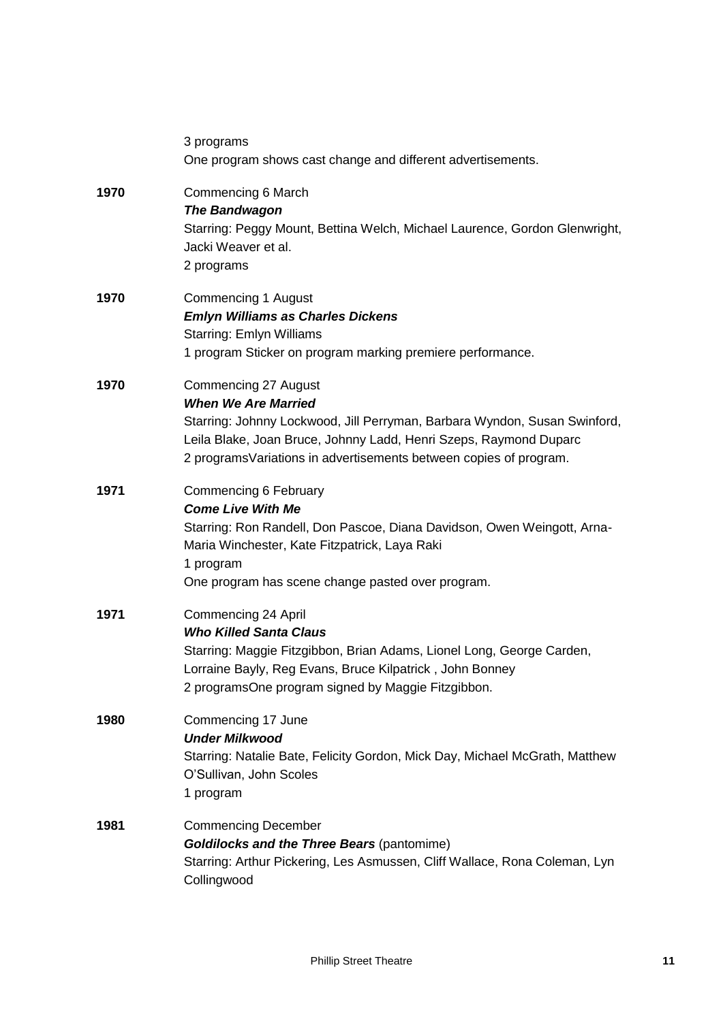|      | 3 programs<br>One program shows cast change and different advertisements.                                                                                                                                                                                                         |
|------|-----------------------------------------------------------------------------------------------------------------------------------------------------------------------------------------------------------------------------------------------------------------------------------|
| 1970 | Commencing 6 March<br><b>The Bandwagon</b><br>Starring: Peggy Mount, Bettina Welch, Michael Laurence, Gordon Glenwright,<br>Jacki Weaver et al.<br>2 programs                                                                                                                     |
| 1970 | <b>Commencing 1 August</b><br><b>Emlyn Williams as Charles Dickens</b><br><b>Starring: Emlyn Williams</b><br>1 program Sticker on program marking premiere performance.                                                                                                           |
| 1970 | <b>Commencing 27 August</b><br><b>When We Are Married</b><br>Starring: Johnny Lockwood, Jill Perryman, Barbara Wyndon, Susan Swinford,<br>Leila Blake, Joan Bruce, Johnny Ladd, Henri Szeps, Raymond Duparc<br>2 programs Variations in advertisements between copies of program. |
| 1971 | Commencing 6 February<br><b>Come Live With Me</b><br>Starring: Ron Randell, Don Pascoe, Diana Davidson, Owen Weingott, Arna-<br>Maria Winchester, Kate Fitzpatrick, Laya Raki<br>1 program<br>One program has scene change pasted over program.                                   |
| 1971 | Commencing 24 April<br><b>Who Killed Santa Claus</b><br>Starring: Maggie Fitzgibbon, Brian Adams, Lionel Long, George Carden,<br>Lorraine Bayly, Reg Evans, Bruce Kilpatrick, John Bonney<br>2 programsOne program signed by Maggie Fitzgibbon.                                   |
| 1980 | Commencing 17 June<br><b>Under Milkwood</b><br>Starring: Natalie Bate, Felicity Gordon, Mick Day, Michael McGrath, Matthew<br>O'Sullivan, John Scoles<br>1 program                                                                                                                |
| 1981 | <b>Commencing December</b><br><b>Goldilocks and the Three Bears (pantomime)</b><br>Starring: Arthur Pickering, Les Asmussen, Cliff Wallace, Rona Coleman, Lyn<br>Collingwood                                                                                                      |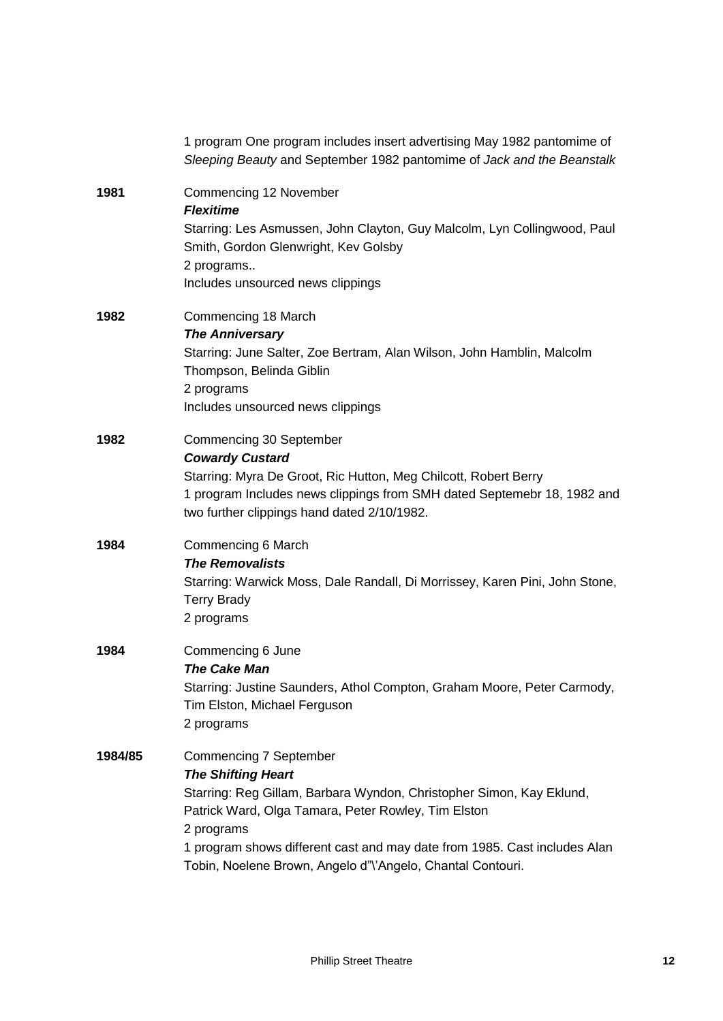| 1 program One program includes insert advertising May 1982 pantomime of<br>Sleeping Beauty and September 1982 pantomime of Jack and the Beanstalk                                                                                                                                                                                                  |
|----------------------------------------------------------------------------------------------------------------------------------------------------------------------------------------------------------------------------------------------------------------------------------------------------------------------------------------------------|
| Commencing 12 November<br><b>Flexitime</b><br>Starring: Les Asmussen, John Clayton, Guy Malcolm, Lyn Collingwood, Paul<br>Smith, Gordon Glenwright, Kev Golsby<br>2 programs<br>Includes unsourced news clippings                                                                                                                                  |
| Commencing 18 March<br><b>The Anniversary</b><br>Starring: June Salter, Zoe Bertram, Alan Wilson, John Hamblin, Malcolm<br>Thompson, Belinda Giblin<br>2 programs<br>Includes unsourced news clippings                                                                                                                                             |
| Commencing 30 September<br><b>Cowardy Custard</b><br>Starring: Myra De Groot, Ric Hutton, Meg Chilcott, Robert Berry<br>1 program Includes news clippings from SMH dated Septemebr 18, 1982 and<br>two further clippings hand dated 2/10/1982.                                                                                                     |
| Commencing 6 March<br><b>The Removalists</b><br>Starring: Warwick Moss, Dale Randall, Di Morrissey, Karen Pini, John Stone,<br><b>Terry Brady</b><br>2 programs                                                                                                                                                                                    |
| Commencing 6 June<br><b>The Cake Man</b><br>Starring: Justine Saunders, Athol Compton, Graham Moore, Peter Carmody,<br>Tim Elston, Michael Ferguson<br>2 programs                                                                                                                                                                                  |
| <b>Commencing 7 September</b><br><b>The Shifting Heart</b><br>Starring: Reg Gillam, Barbara Wyndon, Christopher Simon, Kay Eklund,<br>Patrick Ward, Olga Tamara, Peter Rowley, Tim Elston<br>2 programs<br>1 program shows different cast and may date from 1985. Cast includes Alan<br>Tobin, Noelene Brown, Angelo d"\'Angelo, Chantal Contouri. |
|                                                                                                                                                                                                                                                                                                                                                    |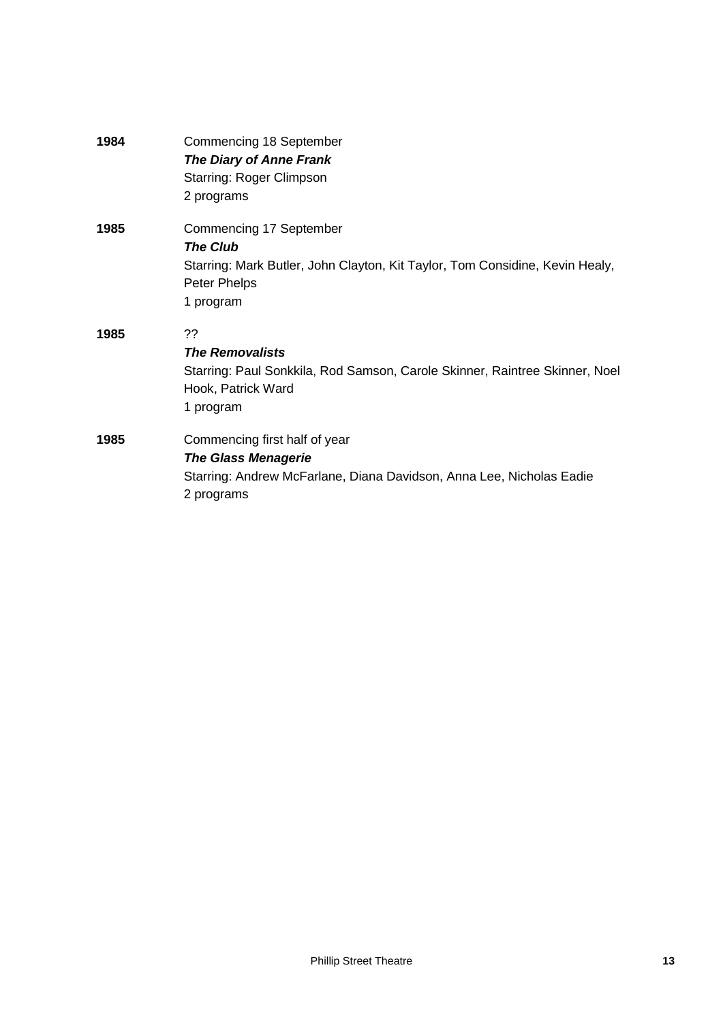| 1984 | Commencing 18 September                                                      |
|------|------------------------------------------------------------------------------|
|      | <b>The Diary of Anne Frank</b>                                               |
|      | <b>Starring: Roger Climpson</b>                                              |
|      | 2 programs                                                                   |
| 1985 | Commencing 17 September                                                      |
|      | <b>The Club</b>                                                              |
|      | Starring: Mark Butler, John Clayton, Kit Taylor, Tom Considine, Kevin Healy, |
|      | Peter Phelps                                                                 |
|      | 1 program                                                                    |
| 1985 | 22                                                                           |
|      | <b>The Removalists</b>                                                       |
|      | Starring: Paul Sonkkila, Rod Samson, Carole Skinner, Raintree Skinner, Noel  |
|      | Hook, Patrick Ward                                                           |
|      | 1 program                                                                    |
| 1985 | Commencing first half of year                                                |
|      | <b>The Glass Menagerie</b>                                                   |
|      | Starring: Andrew McFarlane, Diana Davidson, Anna Lee, Nicholas Eadie         |
|      | 2 programs                                                                   |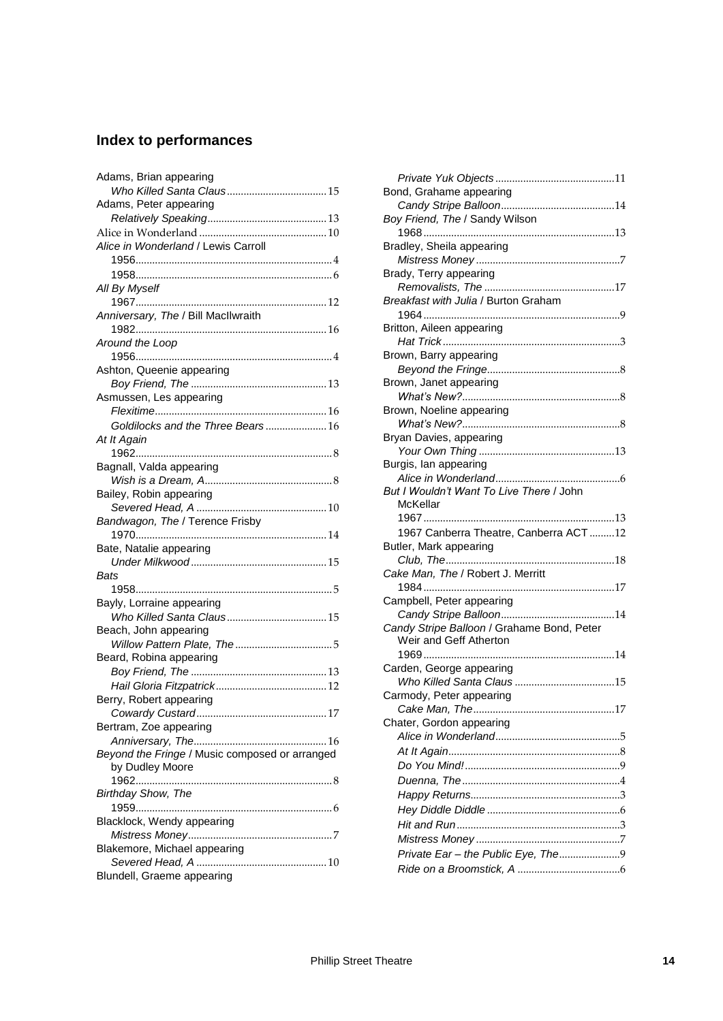## **Index to performances**

| Adams, Brian appearing                         |
|------------------------------------------------|
|                                                |
| Adams, Peter appearing                         |
|                                                |
|                                                |
| Alice in Wonderland / Lewis Carroll            |
|                                                |
|                                                |
| All By Myself                                  |
|                                                |
| Anniversary, The / Bill MacIlwraith            |
|                                                |
| Around the Loop                                |
|                                                |
| Ashton, Queenie appearing                      |
|                                                |
| Asmussen, Les appearing                        |
|                                                |
| Goldilocks and the Three Bears16               |
|                                                |
| At It Again                                    |
|                                                |
| Bagnall, Valda appearing                       |
|                                                |
| Bailey, Robin appearing                        |
|                                                |
| Bandwagon, The / Terence Frisby                |
|                                                |
| Bate, Natalie appearing                        |
|                                                |
| Bats                                           |
|                                                |
| Bayly, Lorraine appearing                      |
|                                                |
| Beach, John appearing                          |
|                                                |
| Beard, Robina appearing                        |
|                                                |
|                                                |
| Berry, Robert appearing                        |
|                                                |
| 17                                             |
|                                                |
| Bertram, Zoe appearing                         |
|                                                |
| Beyond the Fringe / Music composed or arranged |
| by Dudley Moore                                |
|                                                |
| Birthday Show, The                             |
|                                                |
| Blacklock, Wendy appearing                     |
|                                                |
| Blakemore, Michael appearing                   |
| Blundell, Graeme appearing                     |

| Bond, Grahame appearing                    |  |
|--------------------------------------------|--|
|                                            |  |
| Boy Friend, The / Sandy Wilson             |  |
|                                            |  |
| Bradley, Sheila appearing                  |  |
|                                            |  |
| Brady, Terry appearing                     |  |
|                                            |  |
| Breakfast with Julia / Burton Graham       |  |
|                                            |  |
| Britton, Aileen appearing                  |  |
| Brown, Barry appearing                     |  |
|                                            |  |
| Brown, Janet appearing                     |  |
|                                            |  |
| Brown, Noeline appearing                   |  |
|                                            |  |
| Bryan Davies, appearing                    |  |
|                                            |  |
| Burgis, lan appearing                      |  |
|                                            |  |
| But I Wouldn't Want To Live There / John   |  |
| McKellar                                   |  |
|                                            |  |
| 1967 Canberra Theatre, Canberra ACT12      |  |
| Butler, Mark appearing                     |  |
|                                            |  |
| Cake Man, The / Robert J. Merritt          |  |
|                                            |  |
| Campbell, Peter appearing                  |  |
|                                            |  |
| Candy Stripe Balloon / Grahame Bond, Peter |  |
| Weir and Geff Atherton                     |  |
|                                            |  |
| Carden, George appearing                   |  |
|                                            |  |
| Carmody, Peter appearing                   |  |
|                                            |  |
| Chater, Gordon appearing                   |  |
|                                            |  |
|                                            |  |
|                                            |  |
|                                            |  |
|                                            |  |
|                                            |  |
|                                            |  |
|                                            |  |
| Private Ear - the Public Eye, The9         |  |
|                                            |  |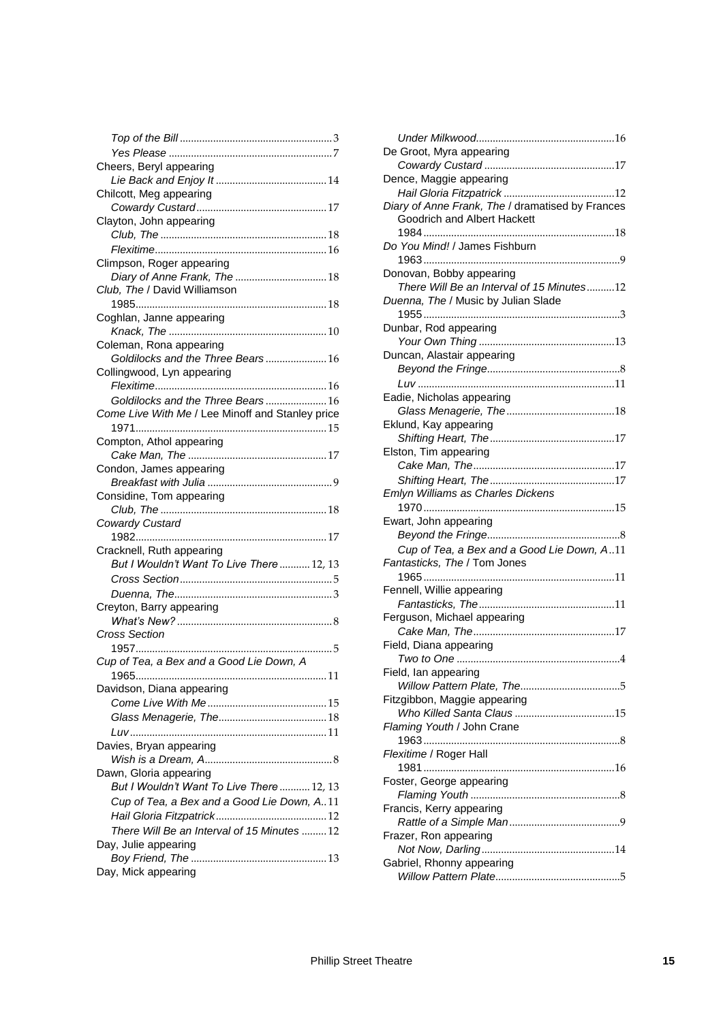| Cheers, Beryl appearing                          |
|--------------------------------------------------|
|                                                  |
| Chilcott, Meg appearing                          |
|                                                  |
| Clayton, John appearing                          |
|                                                  |
|                                                  |
| Climpson, Roger appearing                        |
|                                                  |
| Club, The / David Williamson                     |
|                                                  |
| Coghlan, Janne appearing                         |
|                                                  |
| Coleman, Rona appearing                          |
| Goldilocks and the Three Bears 16                |
| Collingwood, Lyn appearing                       |
|                                                  |
| Goldilocks and the Three Bears 16                |
| Come Live With Me / Lee Minoff and Stanley price |
| 1971                                             |
| Compton, Athol appearing                         |
|                                                  |
| Condon, James appearing                          |
|                                                  |
| Considine, Tom appearing                         |
|                                                  |
| <b>Cowardy Custard</b>                           |
|                                                  |
| Cracknell, Ruth appearing                        |
| But I Wouldn't Want To Live There  12, 13        |
|                                                  |
|                                                  |
| Creyton, Barry appearing                         |
|                                                  |
| Cross Section                                    |
|                                                  |
| Cup of Tea, a Bex and a Good Lie Down, A         |
|                                                  |
| Davidson, Diana appearing                        |
|                                                  |
|                                                  |
|                                                  |
| Davies, Bryan appearing                          |
|                                                  |
| Dawn, Gloria appearing                           |
| But I Wouldn't Want To Live There  12, 13        |
| Cup of Tea, a Bex and a Good Lie Down, A11       |
|                                                  |
| There Will Be an Interval of 15 Minutes 12       |
| Day, Julie appearing                             |
|                                                  |
| Day, Mick appearing                              |
|                                                  |

| De Groot, Myra appearing                                                        |
|---------------------------------------------------------------------------------|
|                                                                                 |
| Dence, Maggie appearing                                                         |
|                                                                                 |
| Diary of Anne Frank, The / dramatised by Frances<br>Goodrich and Albert Hackett |
|                                                                                 |
| Do You Mind! / James Fishburn                                                   |
| Donovan, Bobby appearing                                                        |
| There Will Be an Interval of 15 Minutes12                                       |
| Duenna, The / Music by Julian Slade<br>1955                                     |
| Dunbar, Rod appearing                                                           |
|                                                                                 |
| Duncan, Alastair appearing                                                      |
|                                                                                 |
|                                                                                 |
| Eadie, Nicholas appearing                                                       |
| Eklund, Kay appearing                                                           |
|                                                                                 |
| Elston, Tim appearing                                                           |
|                                                                                 |
|                                                                                 |
| Emlyn Williams as Charles Dickens                                               |
|                                                                                 |
| Ewart, John appearing                                                           |
|                                                                                 |
|                                                                                 |
| Cup of Tea, a Bex and a Good Lie Down, A11                                      |
| Fantasticks, The / Tom Jones                                                    |
|                                                                                 |
| Fennell, Willie appearing                                                       |
| Fantasticks, The<br>11                                                          |
| Ferguson, Michael appearing                                                     |
| Field, Diana appearing                                                          |
|                                                                                 |
| Field, lan appearing                                                            |
|                                                                                 |
| Fitzgibbon, Maggie appearing                                                    |
|                                                                                 |
| Flaming Youth / John Crane                                                      |
|                                                                                 |
| Flexitime / Roger Hall                                                          |
|                                                                                 |
| Foster, George appearing                                                        |
|                                                                                 |
| Francis, Kerry appearing                                                        |
| Frazer, Ron appearing                                                           |
|                                                                                 |
| Gabriel, Rhonny appearing                                                       |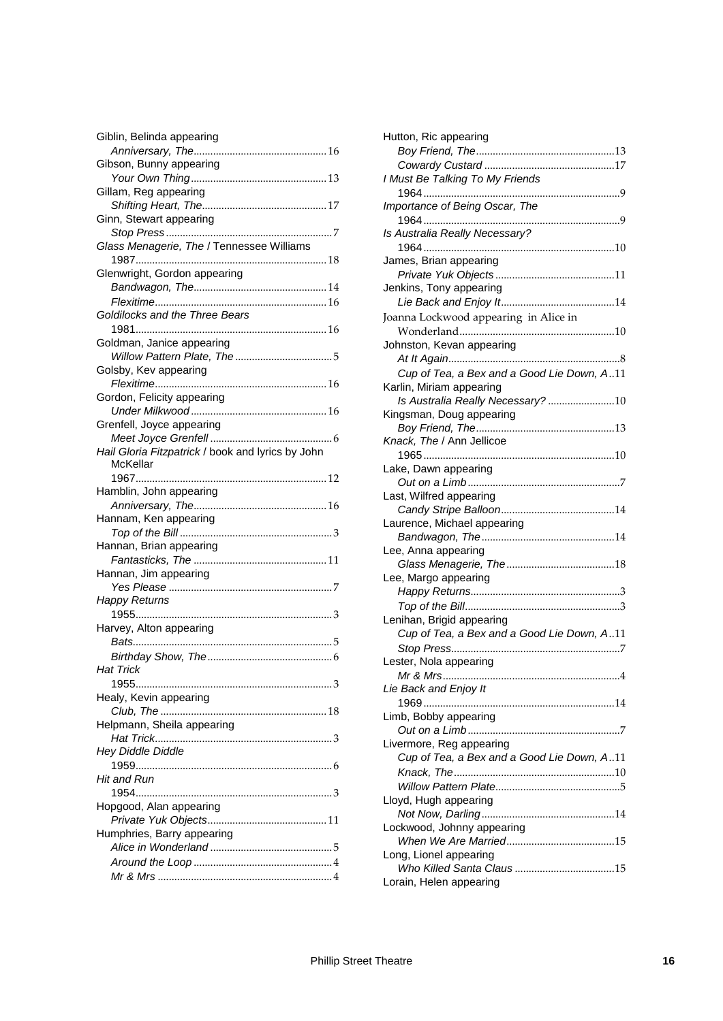| Giblin, Belinda appearing                         |  |
|---------------------------------------------------|--|
|                                                   |  |
| Gibson, Bunny appearing                           |  |
|                                                   |  |
| Gillam, Reg appearing                             |  |
|                                                   |  |
| Ginn, Stewart appearing                           |  |
|                                                   |  |
| Glass Menagerie, The / Tennessee Williams         |  |
|                                                   |  |
| Glenwright, Gordon appearing                      |  |
|                                                   |  |
|                                                   |  |
| Goldilocks and the Three Bears                    |  |
|                                                   |  |
| Goldman, Janice appearing                         |  |
|                                                   |  |
| Golsby, Kev appearing                             |  |
|                                                   |  |
| Gordon, Felicity appearing                        |  |
|                                                   |  |
| Grenfell, Joyce appearing                         |  |
|                                                   |  |
| Hail Gloria Fitzpatrick / book and lyrics by John |  |
| McKellar                                          |  |
|                                                   |  |
| Hamblin, John appearing                           |  |
|                                                   |  |
| Hannam, Ken appearing                             |  |
|                                                   |  |
| Hannan, Brian appearing                           |  |
|                                                   |  |
|                                                   |  |
| Hannan, Jim appearing                             |  |
| <b>Happy Returns</b>                              |  |
|                                                   |  |
|                                                   |  |
| Harvey, Alton appearing                           |  |
|                                                   |  |
|                                                   |  |
| <b>Hat Trick</b>                                  |  |
|                                                   |  |
| Healy, Kevin appearing                            |  |
|                                                   |  |
| Helpmann, Sheila appearing                        |  |
|                                                   |  |
| <b>Hey Diddle Diddle</b>                          |  |
|                                                   |  |
| Hit and Run                                       |  |
|                                                   |  |
| Hopgood, Alan appearing                           |  |
|                                                   |  |
| Humphries, Barry appearing                        |  |
|                                                   |  |
|                                                   |  |
|                                                   |  |
|                                                   |  |

| Hutton, Ric appearing                      |
|--------------------------------------------|
|                                            |
|                                            |
| I Must Be Talking To My Friends            |
|                                            |
| Importance of Being Oscar, The             |
|                                            |
|                                            |
| Is Australia Really Necessary?             |
|                                            |
| James, Brian appearing                     |
|                                            |
| Jenkins, Tony appearing                    |
|                                            |
| Joanna Lockwood appearing in Alice in      |
|                                            |
| Johnston, Kevan appearing                  |
|                                            |
| Cup of Tea, a Bex and a Good Lie Down, A11 |
| Karlin, Miriam appearing                   |
|                                            |
| Is Australia Really Necessary? 10          |
| Kingsman, Doug appearing                   |
|                                            |
| Knack, The / Ann Jellicoe                  |
|                                            |
| Lake, Dawn appearing                       |
|                                            |
| Last, Wilfred appearing                    |
|                                            |
| Laurence, Michael appearing                |
|                                            |
| Lee, Anna appearing                        |
|                                            |
|                                            |
|                                            |
| Lee, Margo appearing                       |
|                                            |
|                                            |
| Lenihan, Brigid appearing                  |
| Cup of Tea, a Bex and a Good Lie Down, A11 |
|                                            |
| Lester, Nola appearing                     |
| Mr & Mrs<br>$\mathbf{1}$                   |
| Lie Back and Enjoy It                      |
| 1969                                       |
| Limb, Bobby appearing                      |
|                                            |
| Livermore, Reg appearing                   |
| Cup of Tea, a Bex and a Good Lie Down, A11 |
|                                            |
|                                            |
|                                            |
| Lloyd, Hugh appearing                      |
|                                            |
| Lockwood, Johnny appearing                 |
|                                            |
| Long, Lionel appearing                     |
| Lorain, Helen appearing                    |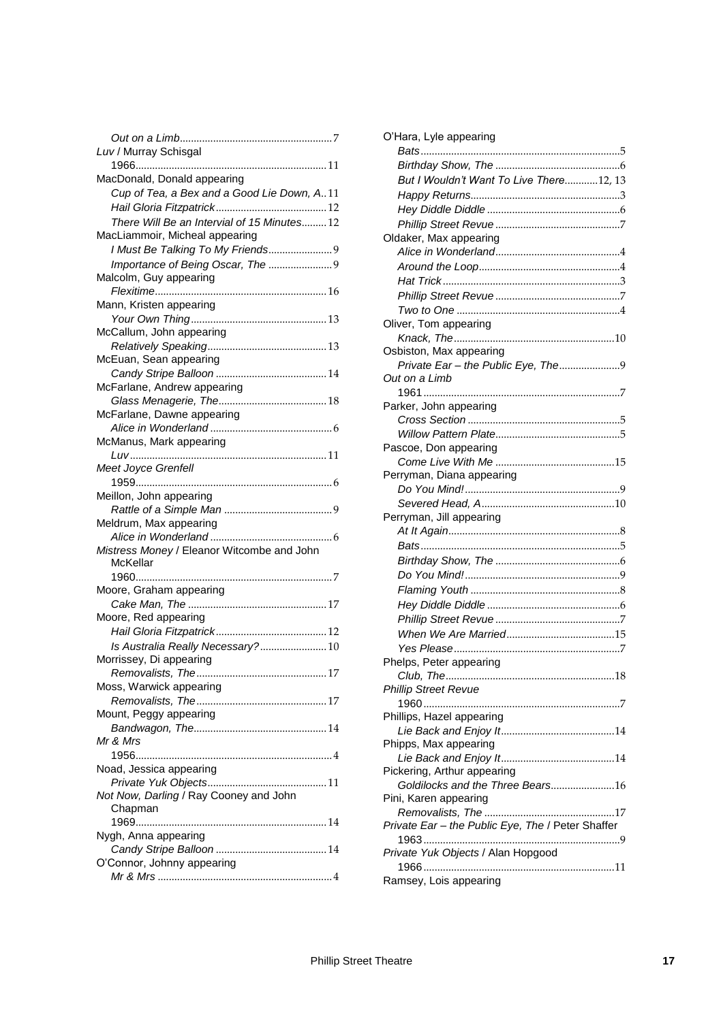| Luv / Murray Schisgal                      |
|--------------------------------------------|
| MacDonald, Donald appearing                |
| Cup of Tea, a Bex and a Good Lie Down, A11 |
|                                            |
| There Will Be an Intervial of 15 Minutes12 |
| MacLiammoir, Micheal appearing             |
| I Must Be Talking To My Friends9           |
| Importance of Being Oscar, The             |
| Malcolm, Guy appearing                     |
|                                            |
| Mann, Kristen appearing                    |
|                                            |
| McCallum, John appearing                   |
|                                            |
| McEuan, Sean appearing                     |
|                                            |
| McFarlane, Andrew appearing                |
|                                            |
| McFarlane, Dawne appearing                 |
|                                            |
| McManus, Mark appearing                    |
|                                            |
| Meet Joyce Grenfell                        |
|                                            |
| Meillon, John appearing                    |
|                                            |
|                                            |
| Meldrum, Max appearing                     |
|                                            |
| Mistress Money / Eleanor Witcombe and John |
| McKellar                                   |
|                                            |
| Moore, Graham appearing                    |
|                                            |
| Moore, Red appearing                       |
|                                            |
| Is Australia Really Necessary?10           |
| Morrissey, Di appearing                    |
| Removalists, The                           |
| Moss, Warwick appearing                    |
|                                            |
| Mount, Peggy appearing                     |
|                                            |
| Mr & Mrs                                   |
|                                            |
| Noad, Jessica appearing                    |
|                                            |
| Not Now, Darling / Ray Cooney and John     |
| Chapman                                    |
|                                            |
| Nygh, Anna appearing                       |
|                                            |
| O'Connor, Johnny appearing                 |

| O'Hara, Lyle appearing                            |
|---------------------------------------------------|
|                                                   |
|                                                   |
| But I Wouldn't Want To Live There12, 13           |
|                                                   |
|                                                   |
|                                                   |
| Oldaker, Max appearing                            |
|                                                   |
|                                                   |
|                                                   |
|                                                   |
|                                                   |
| Oliver, Tom appearing                             |
|                                                   |
| Osbiston, Max appearing                           |
| Private Ear - the Public Eye, The9                |
| Out on a Limb                                     |
|                                                   |
| Parker, John appearing                            |
|                                                   |
|                                                   |
| Pascoe, Don appearing                             |
|                                                   |
| Perryman, Diana appearing                         |
|                                                   |
|                                                   |
| Perryman, Jill appearing                          |
|                                                   |
|                                                   |
|                                                   |
|                                                   |
|                                                   |
|                                                   |
|                                                   |
|                                                   |
|                                                   |
|                                                   |
| Phelps, Peter appearing                           |
|                                                   |
| <b>Phillip Street Revue</b>                       |
| Phillips, Hazel appearing                         |
|                                                   |
|                                                   |
| Phipps, Max appearing                             |
| Pickering, Arthur appearing                       |
| Goldilocks and the Three Bears16                  |
| Pini, Karen appearing                             |
|                                                   |
| Private Ear - the Public Eye, The / Peter Shaffer |
|                                                   |
| Private Yuk Objects / Alan Hopgood                |
|                                                   |
| Ramsey, Lois appearing                            |
|                                                   |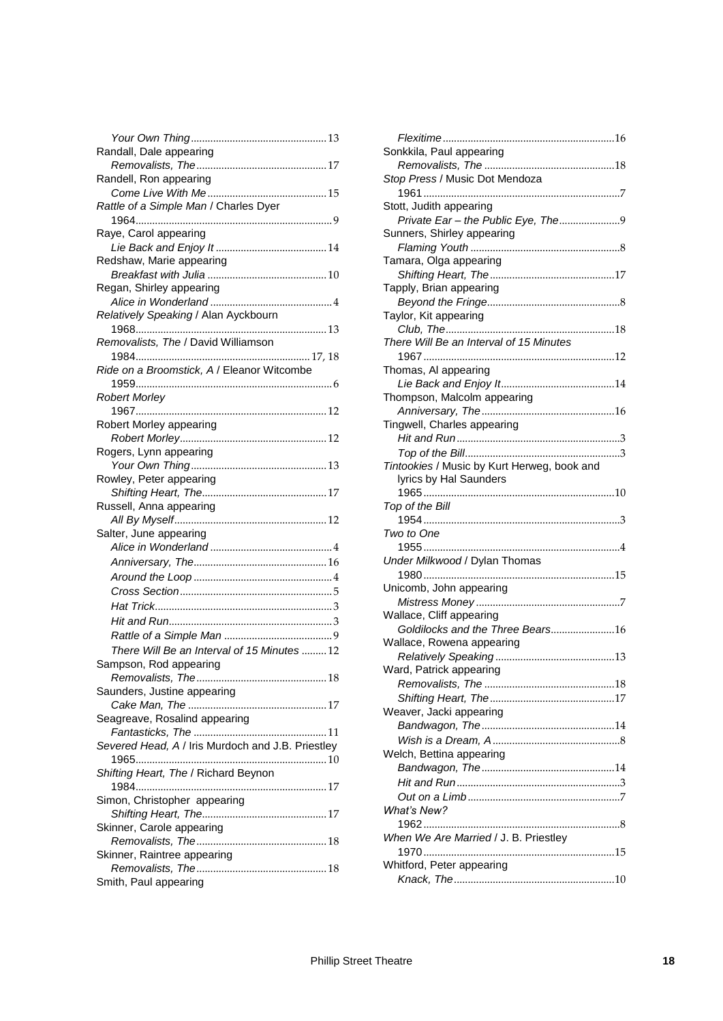| Randall, Dale appearing                           |
|---------------------------------------------------|
|                                                   |
| Randell, Ron appearing                            |
|                                                   |
| Rattle of a Simple Man / Charles Dyer             |
|                                                   |
| Raye, Carol appearing                             |
|                                                   |
| Redshaw, Marie appearing                          |
| Regan, Shirley appearing                          |
|                                                   |
| Relatively Speaking / Alan Ayckbourn              |
|                                                   |
| Removalists, The / David Williamson               |
|                                                   |
| Ride on a Broomstick, A / Eleanor Witcombe        |
|                                                   |
| <b>Robert Morley</b>                              |
|                                                   |
| Robert Morley appearing                           |
|                                                   |
| Rogers, Lynn appearing                            |
|                                                   |
| Rowley, Peter appearing                           |
|                                                   |
| Russell, Anna appearing                           |
|                                                   |
| Salter, June appearing                            |
|                                                   |
|                                                   |
|                                                   |
|                                                   |
|                                                   |
|                                                   |
|                                                   |
|                                                   |
| There Will Be an Interval of 15 Minutes  12       |
| Sampson, Rod appearing                            |
|                                                   |
| Saunders, Justine appearing                       |
|                                                   |
| Seagreave, Rosalind appearing                     |
|                                                   |
| Severed Head, A / Iris Murdoch and J.B. Priestley |
|                                                   |
| Shifting Heart, The / Richard Beynon              |
|                                                   |
| Simon, Christopher appearing                      |
|                                                   |
| Skinner, Carole appearing                         |
|                                                   |
| Skinner, Raintree appearing                       |
| Smith, Paul appearing                             |

| Sonkkila, Paul appearing                    |  |
|---------------------------------------------|--|
|                                             |  |
| Stop Press / Music Dot Mendoza              |  |
|                                             |  |
| Stott, Judith appearing                     |  |
| Private Ear - the Public Eye, The9          |  |
| Sunners, Shirley appearing                  |  |
|                                             |  |
| Tamara, Olga appearing                      |  |
|                                             |  |
| Tapply, Brian appearing                     |  |
|                                             |  |
| Taylor, Kit appearing                       |  |
|                                             |  |
| There Will Be an Interval of 15 Minutes     |  |
|                                             |  |
| Thomas, AI appearing                        |  |
|                                             |  |
| Thompson, Malcolm appearing                 |  |
|                                             |  |
| Tingwell, Charles appearing                 |  |
|                                             |  |
|                                             |  |
| Tintookies / Music by Kurt Herweg, book and |  |
| lyrics by Hal Saunders                      |  |
|                                             |  |
| Top of the Bill                             |  |
|                                             |  |
| Two to One                                  |  |
|                                             |  |
| Under Milkwood / Dylan Thomas               |  |
| 1980                                        |  |
| Unicomb, John appearing                     |  |
|                                             |  |
| Wallace, Cliff appearing                    |  |
| Goldilocks and the Three Bears16            |  |
| Wallace, Rowena appearing                   |  |
|                                             |  |
| Ward, Patrick appearing                     |  |
|                                             |  |
|                                             |  |
| Weaver, Jacki appearing                     |  |
|                                             |  |
|                                             |  |
| Welch, Bettina appearing                    |  |
|                                             |  |
|                                             |  |
|                                             |  |
|                                             |  |
| What's New?                                 |  |
|                                             |  |
| When We Are Married / J. B. Priestley       |  |
|                                             |  |
| Whitford, Peter appearing                   |  |
|                                             |  |